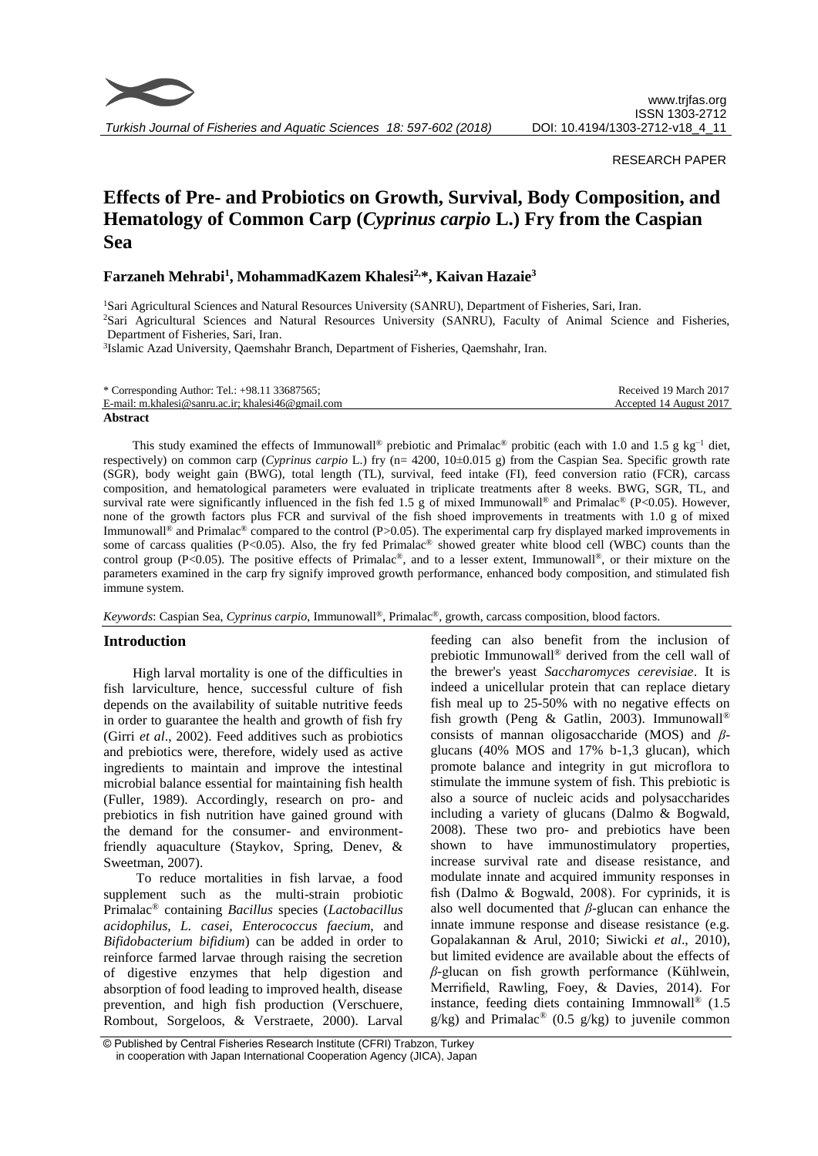

*Turkish Journal of Fisheries and Aquatic Sciences 18: 597-602 (2018)*

#### RESEARCH PAPER

# **Effects of Pre- and Probiotics on Growth, Survival, Body Composition, and Hematology of Common Carp (***Cyprinus carpio* **L.) Fry from the Caspian Sea**

# **Farzaneh Mehrabi<sup>1</sup> , MohammadKazem Khalesi2,\*, Kaivan Hazaie<sup>3</sup>**

<sup>1</sup>Sari Agricultural Sciences and Natural Resources University (SANRU), Department of Fisheries, Sari, Iran. <sup>2</sup>Sari Agricultural Sciences and Natural Resources University (SANRU), Faculty of Animal Science and Fisheries, Department of Fisheries, Sari, Iran.

<sup>3</sup>Islamic Azad University, Qaemshahr Branch, Department of Fisheries, Qaemshahr, Iran.

| * Corresponding Author: Tel.: $+98.11$ 33687565;   | Received 19 March 2017  |
|----------------------------------------------------|-------------------------|
| E-mail: m.khalesi@sanru.ac.ir: khalesi46@gmail.com | Accepted 14 August 2017 |
| Abstract                                           |                         |

This study examined the effects of Immunowall<sup>®</sup> prebiotic and Primalac<sup>®</sup> probitic (each with 1.0 and 1.5 g kg<sup>-1</sup> diet, respectively) on common carp (*Cyprinus carpio* L.) fry (n= 4200, 10±0.015 g) from the Caspian Sea. Specific growth rate (SGR), body weight gain (BWG), total length (TL), survival, feed intake (FI), feed conversion ratio (FCR), carcass composition, and hematological parameters were evaluated in triplicate treatments after 8 weeks. BWG, SGR, TL, and survival rate were significantly influenced in the fish fed 1.5 g of mixed Immunowall<sup>®</sup> and Primalac® (P<0.05). However, none of the growth factors plus FCR and survival of the fish shoed improvements in treatments with 1.0 g of mixed Immunowall<sup>®</sup> and Primalac<sup>®</sup> compared to the control (P>0.05). The experimental carp fry displayed marked improvements in some of carcass qualities (P<0.05). Also, the fry fed Primalac<sup>®</sup> showed greater white blood cell (WBC) counts than the control group (P<0.05). The positive effects of Primalac<sup>®</sup>, and to a lesser extent, Immunowall<sup>®</sup>, or their mixture on the parameters examined in the carp fry signify improved growth performance, enhanced body composition, and stimulated fish immune system.

*Keywords*: Caspian Sea, *Cyprinus carpio*, Immunowall ®, Primalac®, growth, carcass composition, blood factors.

## **Introduction**

High larval mortality is one of the difficulties in fish larviculture, hence, successful culture of fish depends on the availability of suitable nutritive feeds in order to guarantee the health and growth of fish fry (Girri *et al*., 2002). Feed additives such as probiotics and prebiotics were, therefore, widely used as active ingredients to maintain and improve the intestinal microbial balance essential for maintaining fish health (Fuller, 1989). Accordingly, research on pro- and prebiotics in fish nutrition have gained ground with the demand for the consumer- and environmentfriendly aquaculture (Staykov, Spring, Denev, & Sweetman, 2007).

To reduce mortalities in fish larvae, a food supplement such as the multi-strain probiotic Primalac® containing *Bacillus* species (*Lactobacillus acidophilus, L. casei, Enterococcus faecium*, and *Bifidobacterium bifidium*) can be added in order to reinforce farmed larvae through raising the secretion of digestive enzymes that help digestion and absorption of food leading to improved health, disease prevention, and high fish production (Verschuere, Rombout, Sorgeloos, & Verstraete, 2000). Larval

feeding can also benefit from the inclusion of prebiotic Immunowall® derived from the cell wall of the brewer's yeast *Saccharomyces cerevisiae*. It is indeed a unicellular protein that can replace dietary fish meal up to 25-50% with no negative effects on fish growth (Peng & Gatlin, 2003). Immunowall® consists of mannan oligosaccharide (MOS) and *β*glucans (40% MOS and 17% b-1,3 glucan), which promote balance and integrity in gut microflora to stimulate the immune system of fish. This prebiotic is also a source of nucleic acids and polysaccharides including a variety of glucans (Dalmo & Bogwald, 2008). These two pro- and prebiotics have been shown to have immunostimulatory properties, increase survival rate and disease resistance, and modulate innate and acquired immunity responses in fish (Dalmo & Bogwald, 2008). For cyprinids, it is also well documented that *β*-glucan can enhance the innate immune response and disease resistance (e.g. Gopalakannan & Arul, 2010; Siwicki *et al*., 2010), but limited evidence are available about the effects of *β*-glucan on fish growth performance (Kühlwein, Merrifield, Rawling, Foey, & Davies, 2014). For instance, feeding diets containing Immnowall® (1.5  $g/kg$ ) and Primalac<sup>®</sup> (0.5 g/kg) to juvenile common

<sup>©</sup> Published by Central Fisheries Research Institute (CFRI) Trabzon, Turkey in cooperation with Japan International Cooperation Agency (JICA), Japan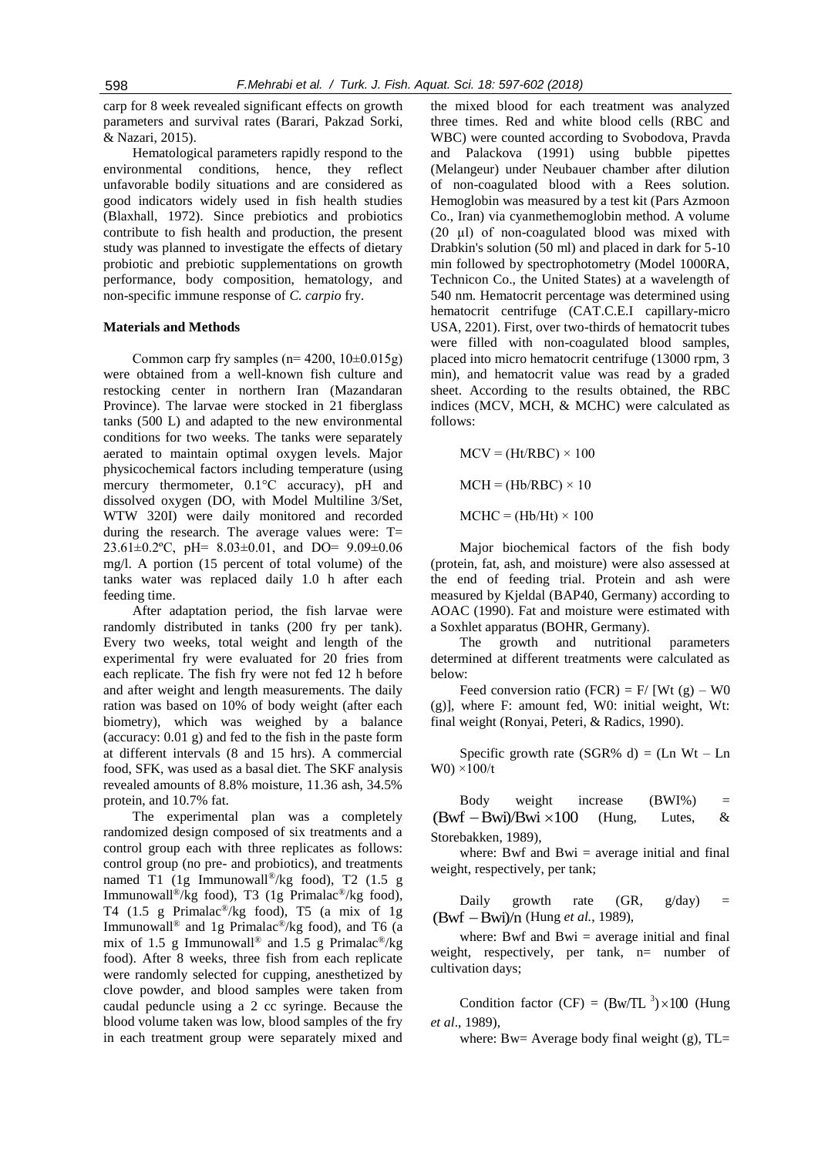carp for 8 week revealed significant effects on growth parameters and survival rates (Barari, Pakzad Sorki, & Nazari, 2015).

Hematological parameters rapidly respond to the environmental conditions, hence, they reflect unfavorable bodily situations and are considered as good indicators widely used in fish health studies (Blaxhall, 1972). Since prebiotics and probiotics contribute to fish health and production, the present study was planned to investigate the effects of dietary probiotic and prebiotic supplementations on growth performance, body composition, hematology, and non-specific immune response of *C. carpio* fry.

#### **Materials and Methods**

Common carp fry samples ( $n= 4200$ ,  $10\pm0.015g$ ) were obtained from a well-known fish culture and restocking center in northern Iran (Mazandaran Province). The larvae were stocked in 21 fiberglass tanks (500 L) and adapted to the new environmental conditions for two weeks. The tanks were separately aerated to maintain optimal oxygen levels. Major physicochemical factors including temperature (using mercury thermometer, 0.1°C accuracy), pH and dissolved oxygen (DO, with Model Multiline 3/Set, WTW 320I) were daily monitored and recorded during the research. The average values were:  $T=$ 23.61±0.2ºC, pH= 8.03±0.01, and DO= 9.09±0.06 mg/l. A portion (15 percent of total volume) of the tanks water was replaced daily 1.0 h after each feeding time.

After adaptation period, the fish larvae were randomly distributed in tanks (200 fry per tank). Every two weeks, total weight and length of the experimental fry were evaluated for 20 fries from each replicate. The fish fry were not fed 12 h before and after weight and length measurements. The daily ration was based on 10% of body weight (after each biometry), which was weighed by a balance (accuracy: 0.01 g) and fed to the fish in the paste form at different intervals (8 and 15 hrs). A commercial food, SFK, was used as a basal diet. The SKF analysis revealed amounts of 8.8% moisture, 11.36 ash, 34.5% protein, and 10.7% fat.

The experimental plan was a completely randomized design composed of six treatments and a control group each with three replicates as follows: control group (no pre- and probiotics), and treatments named T1 (1g Immunowall®/kg food), T2 (1.5 g Immunowall®/kg food), T3 (1g Primalac®/kg food), T4 (1.5 g Primalac<sup>®</sup>/kg food), T5 (a mix of 1g Immunowall<sup>®</sup> and 1g Primalac<sup>®</sup>/kg food), and T6 (a mix of 1.5 g Immunowall<sup>®</sup> and 1.5 g Primalac<sup>®</sup>/kg food). After 8 weeks, three fish from each replicate were randomly selected for cupping, anesthetized by clove powder, and blood samples were taken from caudal peduncle using a 2 cc syringe. Because the blood volume taken was low, blood samples of the fry in each treatment group were separately mixed and

the mixed blood for each treatment was analyzed three times. Red and white blood cells (RBC and WBC) were counted according to Svobodova, Pravda and Palackova (1991) using bubble pipettes (Melangeur) under Neubauer chamber after dilution of non-coagulated blood with a Rees solution. Hemoglobin was measured by a test kit (Pars Azmoon Co., Iran) via cyanmethemoglobin method. A volume (20 µl) of non-coagulated blood was mixed with Drabkin's solution (50 ml) and placed in dark for 5-10 min followed by spectrophotometry (Model 1000RA, Technicon Co., the United States) at a wavelength of 540 nm. Hematocrit percentage was determined using hematocrit centrifuge (CAT.C.E.I capillary-micro USA, 2201). First, over two-thirds of hematocrit tubes were filled with non-coagulated blood samples, placed into micro hematocrit centrifuge (13000 rpm, 3 min), and hematocrit value was read by a graded sheet. According to the results obtained, the RBC indices (MCV, MCH, & MCHC) were calculated as follows:

 $MCV = (Ht/RBC) \times 100$  $MCH = (Hb/RBC) \times 10$  $MCHC = (Hb/Ht) \times 100$ 

Major biochemical factors of the fish body (protein, fat, ash, and moisture) were also assessed at the end of feeding trial. Protein and ash were measured by Kjeldal (BAP40, Germany) according to AOAC (1990). Fat and moisture were estimated with a Soxhlet apparatus (BOHR, Germany).

The growth and nutritional parameters determined at different treatments were calculated as below:

Feed conversion ratio (FCR) = F/ [Wt  $(g)$  – W0 (g)], where F: amount fed, W0: initial weight, Wt: final weight (Ronyai, Peteri, & Radics, 1990).

Specific growth rate (SGR% d) =  $(Ln Wt - Ln)$  $W0$ ) ×100/t

Body weight increase (BWI%) =  $(Bwf - Bwi)/Bwi \times 100$ (Hung, Lutes, & Storebakken, 1989),

where: Bwf and Bwi  $=$  average initial and final weight, respectively, per tank;

Daily growth rate  $(GR, g/day) =$ (Bwf - Bwi)/n (Hung et al., 1989),

where: Bwf and Bwi  $=$  average initial and final weight, respectively, per tank, n= number of cultivation days;

Condition factor (CF) =  $(Bw/TL^3) \times 100$  (Hung *et al*., 1989),

where: Bw= Average body final weight  $(g)$ , TL=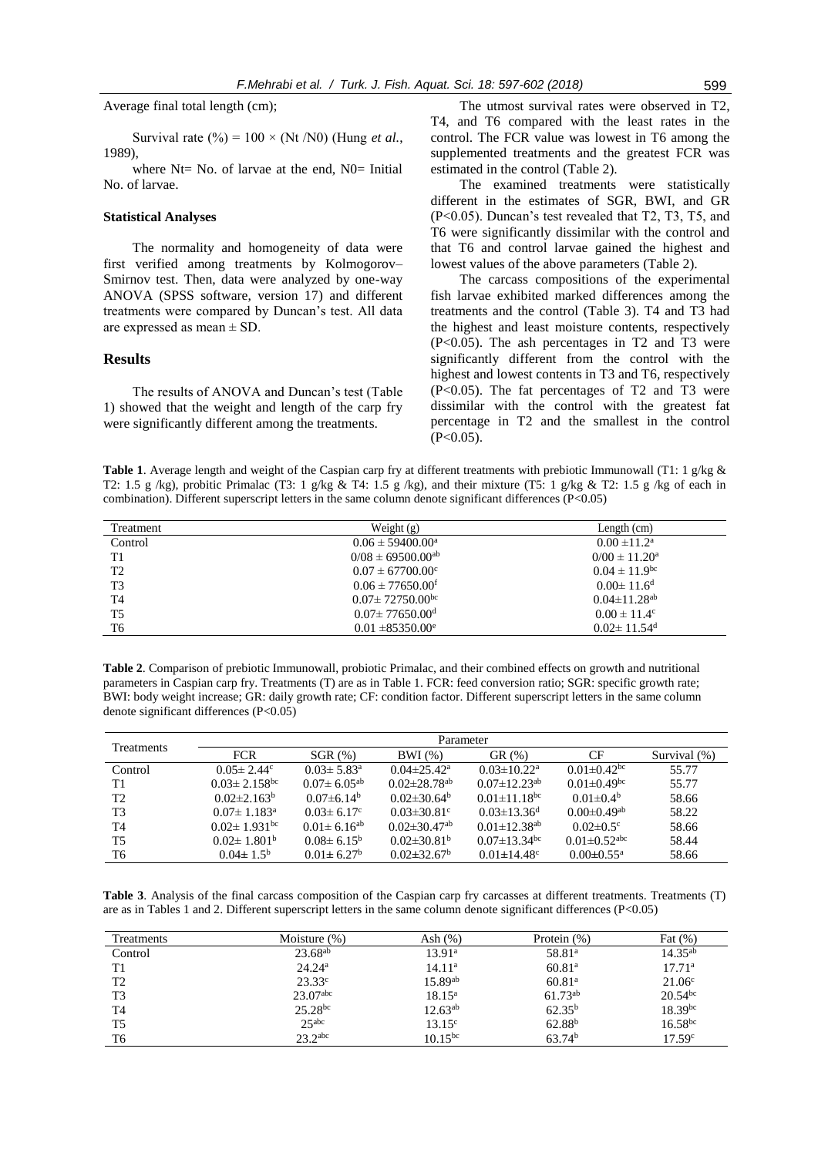Average final total length (cm);

Survival rate  $(\%) = 100 \times (Nt/N0)$  (Hung *et al.*, 1989),

where  $Nt=$  No. of larvae at the end,  $N0=$  Initial No. of larvae.

#### **Statistical Analyses**

The normality and homogeneity of data were first verified among treatments by Kolmogorov– Smirnov test. Then, data were analyzed by one-way ANOVA (SPSS software, version 17) and different treatments were compared by Duncan's test. All data are expressed as mean  $\pm$  SD.

#### **Results**

The results of ANOVA and Duncan's test (Table 1) showed that the weight and length of the carp fry were significantly different among the treatments.

The utmost survival rates were observed in T2, T4, and T6 compared with the least rates in the control. The FCR value was lowest in T6 among the supplemented treatments and the greatest FCR was estimated in the control (Table 2).

The examined treatments were statistically different in the estimates of SGR, BWI, and GR (P<0.05). Duncan's test revealed that T2, T3, T5, and T6 were significantly dissimilar with the control and that T6 and control larvae gained the highest and lowest values of the above parameters (Table 2).

The carcass compositions of the experimental fish larvae exhibited marked differences among the treatments and the control (Table 3). T4 and T3 had the highest and least moisture contents, respectively (P<0.05). The ash percentages in T2 and T3 were significantly different from the control with the highest and lowest contents in T3 and T6, respectively (P<0.05). The fat percentages of T2 and T3 were dissimilar with the control with the greatest fat percentage in T2 and the smallest in the control  $(P<0.05)$ .

**Table 1**. Average length and weight of the Caspian carp fry at different treatments with prebiotic Immunowall (T1: 1 g/kg & T2: 1.5 g /kg), probitic Primalac (T3: 1 g/kg & T4: 1.5 g /kg), and their mixture (T5: 1 g/kg & T2: 1.5 g /kg of each in combination). Different superscript letters in the same column denote significant differences (P<0.05)

| Treatment      | Weight $(g)$                     | Length $(cm)$                  |
|----------------|----------------------------------|--------------------------------|
| Control        | $0.06 \pm 59400.00^{\circ}$      | $0.00 \pm 11.2^{\text{a}}$     |
| T1             | $0/08 \pm 69500.00^{ab}$         | $0/00 \pm 11.20^{\rm a}$       |
| T2             | $0.07 \pm 67700.00^{\circ}$      | $0.04 \pm 11.9$ <sup>bc</sup>  |
| T <sub>3</sub> | $0.06 \pm 77650.00$ <sup>f</sup> | $0.00 \pm 11.6^d$              |
| T <sub>4</sub> | $0.07 \pm 72750.00^{bc}$         | $0.04 \pm 11.28$ <sup>ab</sup> |
| T <sub>5</sub> | $0.07 \pm 77650.00$ <sup>d</sup> | $0.00 \pm 11.4$ <sup>c</sup>   |
| T <sub>6</sub> | $0.01 \pm 85350.00^e$            | $0.02 \pm 11.54$ <sup>d</sup>  |

**Table 2**. Comparison of prebiotic Immunowall, probiotic Primalac, and their combined effects on growth and nutritional parameters in Caspian carp fry. Treatments (T) are as in Table 1. FCR: feed conversion ratio; SGR: specific growth rate; BWI: body weight increase; GR: daily growth rate; CF: condition factor. Different superscript letters in the same column denote significant differences (P<0.05)

| <b>Treatments</b> | Parameter                      |                              |                                |                                |                                |              |
|-------------------|--------------------------------|------------------------------|--------------------------------|--------------------------------|--------------------------------|--------------|
|                   | <b>FCR</b>                     | $SGR$ $(\%)$                 | BWI(%)                         | $GR(\% )$                      | <b>CF</b>                      | Survival (%) |
| Control           | $0.05 \pm 2.44$ <sup>c</sup>   | $0.03 \pm 5.83^{\circ}$      | $0.04 \pm 25.42^{\mathrm{a}}$  | $0.03 \pm 10.22^{\text{a}}$    | $0.01 \pm 0.42$ <sup>bc</sup>  | 55.77        |
| T1                | $0.03 \pm 2.158$ <sup>bc</sup> | $0.07 \pm 6.05^{ab}$         | $0.02 \pm 28.78$ <sup>ab</sup> | $0.07 \pm 12.23$ <sup>ab</sup> | $0.01 \pm 0.49$ <sup>bc</sup>  | 55.77        |
| T <sub>2</sub>    | $0.02\pm2.163^{\rm b}$         | $0.07\pm6.14^{\rm b}$        | $0.02\pm30.64^{\rm b}$         | $0.01 \pm 11.18$ <sup>bc</sup> | $0.01 \pm 0.4^b$               | 58.66        |
| T <sub>3</sub>    | $0.07 \pm 1.183^{\circ}$       | $0.03 \pm 6.17$ °            | $0.03 \pm 30.81$ °             | $0.03 \pm 13.36$ <sup>d</sup>  | $0.00 \pm 0.49$ <sup>ab</sup>  | 58.22        |
| T <sub>4</sub>    | $0.02 \pm 1.931$ <sup>bc</sup> | $0.01 \pm 6.16^{ab}$         | $0.02 \pm 30.47$ <sup>ab</sup> | $0.01 \pm 12.38^{ab}$          | $0.02 \pm 0.5$ <sup>c</sup>    | 58.66        |
| T <sub>5</sub>    | $0.02 \pm 1.801^{\rm b}$       | $0.08\pm 6.15^{\rm b}$       | $0.02 \pm 30.81$ <sup>b</sup>  | $0.07 \pm 13.34$ <sup>bc</sup> | $0.01 \pm 0.52$ <sup>abc</sup> | 58.44        |
| T6                | $0.04 \pm 1.5^{\rm b}$         | $0.01 \pm 6.27$ <sup>b</sup> | $0.02\pm32.67^{\rm b}$         | $0.01 \pm 14.48$ °             | $0.00 \pm 0.55^{\text{a}}$     | 58.66        |

**Table 3**. Analysis of the final carcass composition of the Caspian carp fry carcasses at different treatments. Treatments (T) are as in Tables 1 and 2. Different superscript letters in the same column denote significant differences (P<0.05)

| <b>Treatments</b> | Moisture $(\%)$        | Ash $(\%)$         | Protein $(\%)$     | Fat $(\%)$         |
|-------------------|------------------------|--------------------|--------------------|--------------------|
| Control           | $23.68^{ab}$           | $13.91^{\circ}$    | 58.81 <sup>a</sup> | $14.35^{ab}$       |
| T1                | $24.24^a$              | 14.11 <sup>a</sup> | 60.81 <sup>a</sup> | 17.71 <sup>a</sup> |
| T <sub>2</sub>    | $23.33^{\circ}$        | $15.89^{ab}$       | 60.81 <sup>a</sup> | $21.06^{\circ}$    |
| T <sub>3</sub>    | $23.07$ <sup>abc</sup> | $18.15^{\rm a}$    | $61.73^{ab}$       | $20.54^{bc}$       |
| T <sub>4</sub>    | $25.28^{bc}$           | $12.63^{ab}$       | $62.35^{b}$        | $18.39^{bc}$       |
| T <sub>5</sub>    | 25 <sup>abc</sup>      | $13.15^{\circ}$    | $62.88^{b}$        | $16.58^{bc}$       |
| T6                | $23.2$ abc             | $10.15^{bc}$       | 63.74 <sup>b</sup> | 17.59c             |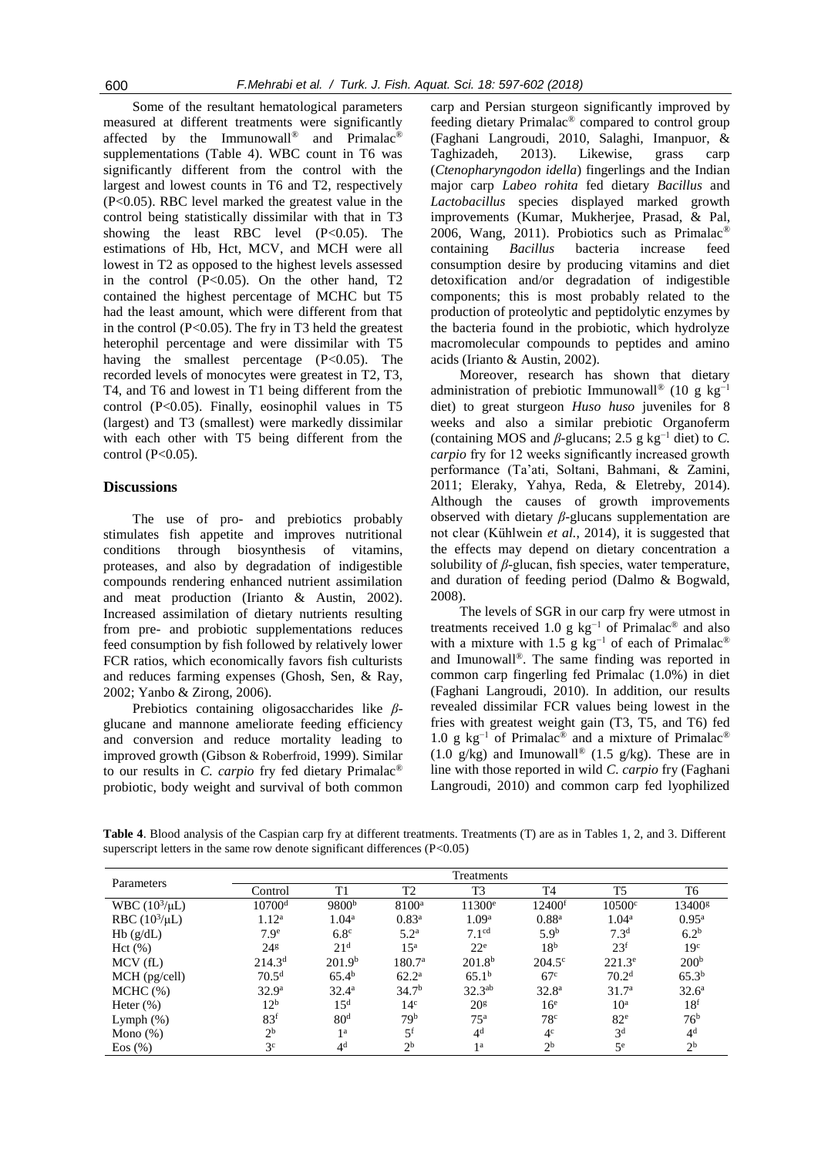Some of the resultant hematological parameters measured at different treatments were significantly affected by the Immunowall® and Primalac® supplementations (Table 4). WBC count in T6 was significantly different from the control with the largest and lowest counts in T6 and T2, respectively (P<0.05). RBC level marked the greatest value in the control being statistically dissimilar with that in T3 showing the least RBC level  $(P<0.05)$ . The estimations of Hb, Hct, MCV, and MCH were all lowest in T2 as opposed to the highest levels assessed in the control  $(P<0.05)$ . On the other hand, T2 contained the highest percentage of MCHC but T5 had the least amount, which were different from that in the control (P<0.05). The fry in T3 held the greatest heterophil percentage and were dissimilar with T5 having the smallest percentage (P<0.05). The recorded levels of monocytes were greatest in T2, T3, T4, and T6 and lowest in T1 being different from the control (P<0.05). Finally, eosinophil values in T5 (largest) and T3 (smallest) were markedly dissimilar with each other with T5 being different from the control  $(P<0.05)$ .

#### **Discussions**

The use of pro- and prebiotics probably stimulates fish appetite and improves nutritional conditions through biosynthesis of vitamins, proteases, and also by degradation of indigestible compounds rendering enhanced nutrient assimilation and meat production (Irianto & Austin, 2002). Increased assimilation of dietary nutrients resulting from pre- and probiotic supplementations reduces feed consumption by fish followed by relatively lower FCR ratios, which economically favors fish culturists and reduces farming expenses (Ghosh, Sen, & Ray, 2002; Yanbo & Zirong, 2006).

Prebiotics containing oligosaccharides like *β*glucane and mannone ameliorate feeding efficiency and conversion and reduce mortality leading to improved growth (Gibson & Roberfroid, 1999). Similar to our results in *C. carpio* fry fed dietary Primalac® probiotic, body weight and survival of both common

carp and Persian sturgeon significantly improved by feeding dietary Primalac® compared to control group (Faghani Langroudi, 2010, Salaghi, Imanpuor, & Taghizadeh, 2013). Likewise, grass carp (*Ctenopharyngodon idella*) fingerlings and the Indian major carp *Labeo rohita* fed dietary *Bacillus* and *Lactobacillus* species displayed marked growth improvements (Kumar, Mukherjee, Prasad, & Pal, 2006, Wang, 2011). Probiotics such as Primalac® containing *Bacillus* bacteria increase feed consumption desire by producing vitamins and diet detoxification and/or degradation of indigestible components; this is most probably related to the production of proteolytic and peptidolytic enzymes by the bacteria found in the probiotic, which hydrolyze macromolecular compounds to peptides and amino acids (Irianto & Austin, 2002).

Moreover, research has shown that dietary administration of prebiotic Immunowall<sup>®</sup> (10 g kg<sup>-1</sup> diet) to great sturgeon *Huso huso* juveniles for 8 weeks and also a similar prebiotic Organoferm (containing MOS and  $\beta$ -glucans; 2.5 g kg<sup>-1</sup> diet) to *C*. *carpio* fry for 12 weeks significantly increased growth performance (Ta'ati, Soltani, Bahmani, & Zamini, 2011; Eleraky, Yahya, Reda, & Eletreby, 2014). Although the causes of growth improvements observed with dietary *β*-glucans supplementation are not clear (Kühlwein *et al.*, 2014), it is suggested that the effects may depend on dietary concentration a solubility of *β*-glucan, fish species, water temperature, and duration of feeding period (Dalmo & Bogwald, 2008).

The levels of SGR in our carp fry were utmost in treatments received 1.0 g  $kg^{-1}$  of Primalac<sup>®</sup> and also with a mixture with 1.5 g kg<sup>-1</sup> of each of Primalac<sup>®</sup> and Imunowall®. The same finding was reported in common carp fingerling fed Primalac (1.0%) in diet (Faghani Langroudi, 2010). In addition, our results revealed dissimilar FCR values being lowest in the fries with greatest weight gain (T3, T5, and T6) fed 1.0 g kg−1 of Primalac® and a mixture of Primalac®  $(1.0 \text{ g/kg})$  and Imunowall<sup>®</sup>  $(1.5 \text{ g/kg})$ . These are in line with those reported in wild *C. carpio* fry (Faghani Langroudi, 2010) and common carp fed lyophilized

**Table 4**. Blood analysis of the Caspian carp fry at different treatments. Treatments (T) are as in Tables 1, 2, and 3. Different superscript letters in the same row denote significant differences (P<0.05)

| Parameters         | Treatments         |                    |                    |                    |                    |                      |                    |
|--------------------|--------------------|--------------------|--------------------|--------------------|--------------------|----------------------|--------------------|
|                    | Control            | T1                 | T <sub>2</sub>     | T <sub>3</sub>     | <b>T4</b>          | T <sub>5</sub>       | T6                 |
| WBC $(10^3/\mu L)$ | 10700 <sup>d</sup> | 9800 <sup>b</sup>  | $8100^a$           | 11300 <sup>e</sup> | 12400 <sup>f</sup> | $10500$ <sup>c</sup> | 13400 <sup>g</sup> |
| RBC $(10^3/\mu L)$ | 1.12 <sup>a</sup>  | 1.04 <sup>a</sup>  | $0.83^{\rm a}$     | 1.09 <sup>a</sup>  | 0.88 <sup>a</sup>  | 1.04 <sup>a</sup>    | $0.95^{\rm a}$     |
| Hb(g/dL)           | 7.9 <sup>e</sup>   | 6.8 <sup>c</sup>   | 5.2 <sup>a</sup>   | 7.1 <sup>cd</sup>  | 5.9 <sup>b</sup>   | 7.3 <sup>d</sup>     | 6.2 <sup>b</sup>   |
| Hct(%)             | 24 <sup>g</sup>    | 21 <sup>d</sup>    | 1.5 <sup>a</sup>   | 22 <sup>e</sup>    | 18 <sup>b</sup>    | 23 <sup>f</sup>      | 19 <sup>c</sup>    |
| $MCV$ (fL)         | 214.3 <sup>d</sup> | 201.9 <sup>b</sup> | 180.7 <sup>a</sup> | 201.8 <sup>b</sup> | $204.5^{\circ}$    | $221.3^e$            | 200 <sup>b</sup>   |
| MCH (pg/cell)      | 70.5 <sup>d</sup>  | $65.4^{\rm b}$     | $62.2^{\rm a}$     | 65.1 <sup>b</sup>  | 67 <sup>c</sup>    | 70.2 <sup>d</sup>    | $65.3^{b}$         |
| $MCHC$ $(\%)$      | 32.9 <sup>a</sup>  | $32.4^{\rm a}$     | 34.7 <sup>b</sup>  | $32.3^{ab}$        | 32.8 <sup>a</sup>  | 31.7 <sup>a</sup>    | $32.6^{\circ}$     |
| Heter $(\% )$      | 12 <sup>b</sup>    | 15 <sup>d</sup>    | 14 <sup>c</sup>    | 20 <sup>g</sup>    | 16 <sup>e</sup>    | 10 <sup>a</sup>      | 18 <sup>f</sup>    |
| Lymph $(\%)$       | 83 <sup>f</sup>    | 80 <sup>d</sup>    | 79 <sup>b</sup>    | 75 <sup>a</sup>    | 78 <sup>c</sup>    | 82 <sup>e</sup>      | 76 <sup>b</sup>    |
| Mono $(\%)$        | 2 <sup>b</sup>     | 1 <sup>a</sup>     | 5 <sup>f</sup>     | 4 <sup>d</sup>     | 4 <sup>c</sup>     | 3 <sup>d</sup>       | 4 <sup>d</sup>     |
| Eos(%)             | 3 <sup>c</sup>     | 4 <sup>d</sup>     | 2 <sup>b</sup>     | 1a                 | 2 <sup>b</sup>     | 5 <sup>e</sup>       | 2 <sup>b</sup>     |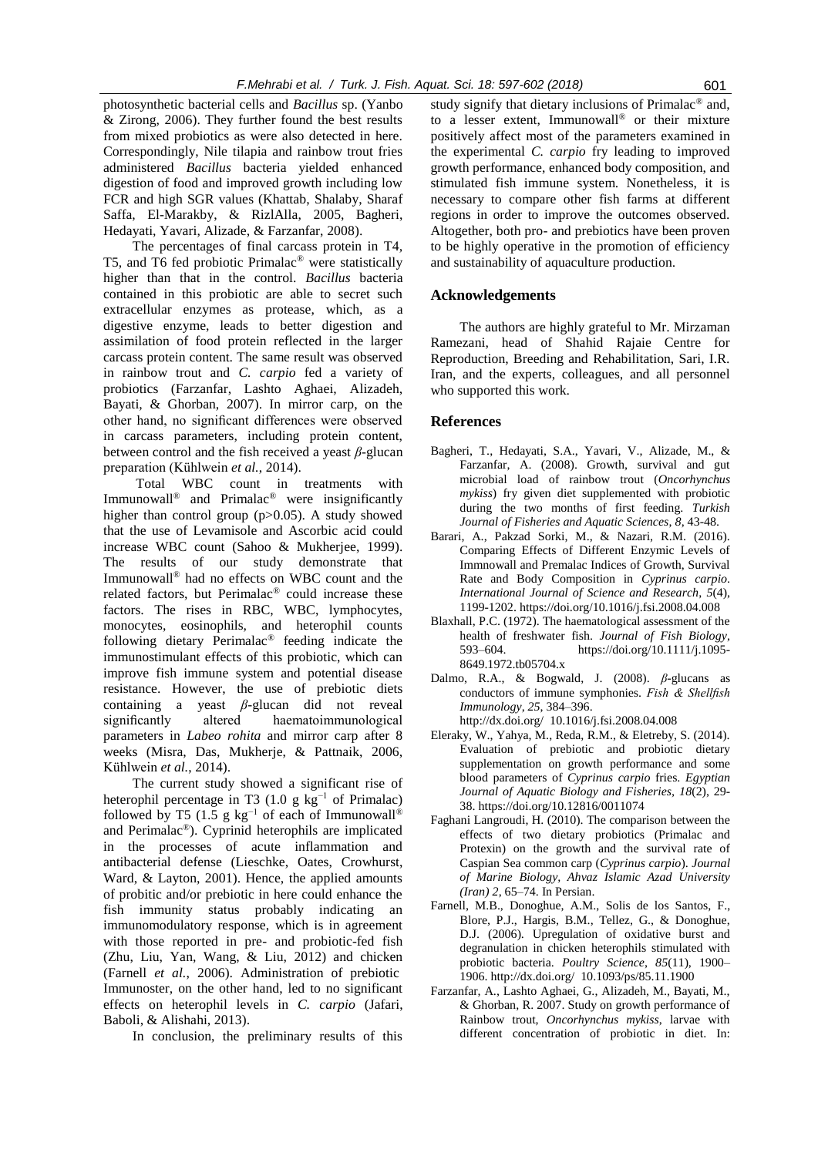photosynthetic bacterial cells and *Bacillus* sp. (Yanbo & Zirong, 2006). They further found the best results from mixed probiotics as were also detected in here. Correspondingly, Nile tilapia and rainbow trout fries administered *Bacillus* bacteria yielded enhanced digestion of food and improved growth including low FCR and high SGR values (Khattab, Shalaby, Sharaf Saffa, El-Marakby, & RizlAlla, 2005, Bagheri, Hedayati, Yavari, Alizade, & Farzanfar, 2008).

The percentages of final carcass protein in T4, T5, and T6 fed probiotic Primalac® were statistically higher than that in the control. *Bacillus* bacteria contained in this probiotic are able to secret such extracellular enzymes as protease, which, as a digestive enzyme, leads to better digestion and assimilation of food protein reflected in the larger carcass protein content. The same result was observed in rainbow trout and *C. carpio* fed a variety of probiotics (Farzanfar, Lashto Aghaei, Alizadeh, Bayati, & Ghorban, 2007). In mirror carp, on the other hand, no significant differences were observed in carcass parameters, including protein content, between control and the fish received a yeast *β*-glucan preparation (Kühlwein *et al.*, 2014).

Total WBC count in treatments with Immunowall<sup>®</sup> and Primalac<sup>®</sup> were insignificantly higher than control group (p>0.05). A study showed that the use of Levamisole and Ascorbic acid could increase WBC count (Sahoo & Mukherjee, 1999). The results of our study demonstrate that Immunowall® had no effects on WBC count and the related factors, but Perimalac® could increase these factors. The rises in RBC, WBC, lymphocytes, monocytes, eosinophils, and heterophil counts following dietary Perimalac® feeding indicate the immunostimulant effects of this probiotic, which can improve fish immune system and potential disease resistance. However, the use of prebiotic diets containing a yeast *β*-glucan did not reveal significantly altered haematoimmunological parameters in *Labeo rohita* and mirror carp after 8 weeks (Misra, Das, Mukherje, & Pattnaik, 2006, Kühlwein *et al.*, 2014).

The current study showed a significant rise of heterophil percentage in T3 (1.0 g kg<sup>-1</sup> of Primalac) followed by T5 (1.5 g kg<sup>-1</sup> of each of Immunowall<sup>®</sup> and Perimalac®). Cyprinid heterophils are implicated in the processes of acute inflammation and antibacterial defense (Lieschke, Oates, Crowhurst, Ward, & Layton, 2001). Hence, the applied amounts of probitic and/or prebiotic in here could enhance the fish immunity status probably indicating an immunomodulatory response, which is in agreement with those reported in pre- and probiotic-fed fish (Zhu, Liu, Yan, Wang, & Liu, 2012) and chicken (Farnell *et al.*, 2006). Administration of prebiotic Immunoster, on the other hand, led to no significant effects on heterophil levels in *C. carpio* (Jafari, Baboli, & Alishahi, 2013).

In conclusion, the preliminary results of this

study signify that dietary inclusions of Primalac<sup>®</sup> and, to a lesser extent, Immunowall® or their mixture positively affect most of the parameters examined in the experimental *C. carpio* fry leading to improved growth performance, enhanced body composition, and stimulated fish immune system. Nonetheless, it is necessary to compare other fish farms at different regions in order to improve the outcomes observed. Altogether, both pro- and prebiotics have been proven to be highly operative in the promotion of efficiency and sustainability of aquaculture production.

### **Acknowledgements**

The authors are highly grateful to Mr. Mirzaman Ramezani, head of Shahid Rajaie Centre for Reproduction, Breeding and Rehabilitation, Sari, I.R. Iran, and the experts, colleagues, and all personnel who supported this work.

#### **References**

- Bagheri, T., Hedayati, S.A., Yavari, V., Alizade, M., & Farzanfar, A. (2008). Growth, survival and gut microbial load of rainbow trout (*Oncorhynchus mykiss*) fry given diet supplemented with probiotic during the two months of first feeding. *Turkish Journal of Fisheries and Aquatic Sciences*, *8*, 43-48.
- Barari, A., Pakzad Sorki, M., & Nazari, R.M. (2016). Comparing Effects of Different Enzymic Levels of Immnowall and Premalac Indices of Growth, Survival Rate and Body Composition in *Cyprinus carpio*. *International Journal of Science and Research*, *5*(4), 1199-1202. https://doi.org/10.1016/j.fsi.2008.04.008
- Blaxhall, P.C. (1972). The haematological assessment of the health of freshwater fish. *Journal of Fish Biology*, 593–604. https://doi.org/10.1111/j.1095- 8649.1972.tb05704.x
- Dalmo, R.A., & Bogwald, J. (2008). *β*-glucans as conductors of immune symphonies. *Fish & Shellfish Immunology*, *25*, 384–396. http://dx.doi.org/ 10.1016/j.fsi.2008.04.008
- Eleraky, W., Yahya, M., Reda, R.M., & Eletreby, S. (2014). Evaluation of prebiotic and probiotic dietary supplementation on growth performance and some blood parameters of *Cyprinus carpio* fries. *Egyptian Journal of Aquatic Biology and Fisheries, 18*(2), 29- 38. https://doi.org/10.12816/0011074
- Faghani Langroudi, H. (2010). The comparison between the effects of two dietary probiotics (Primalac and Protexin) on the growth and the survival rate of Caspian Sea common carp (*Cyprinus carpio*). *Journal of Marine Biology, Ahvaz Islamic Azad University (Iran) 2*, 65–74. In Persian.
- Farnell, M.B., Donoghue, A.M., Solis de los Santos, F., Blore, P.J., Hargis, B.M., Tellez, G., & Donoghue, D.J. (2006). Upregulation of oxidative burst and degranulation in chicken heterophils stimulated with probiotic bacteria. *Poultry Science*, *85*(11), 1900– 1906. http://dx.doi.org/ 10.1093/ps/85.11.1900
- Farzanfar, A., Lashto Aghaei, G., Alizadeh, M., Bayati, M., & Ghorban, R. 2007. Study on growth performance of Rainbow trout, *Oncorhynchus mykiss*, larvae with different concentration of probiotic in diet. In: